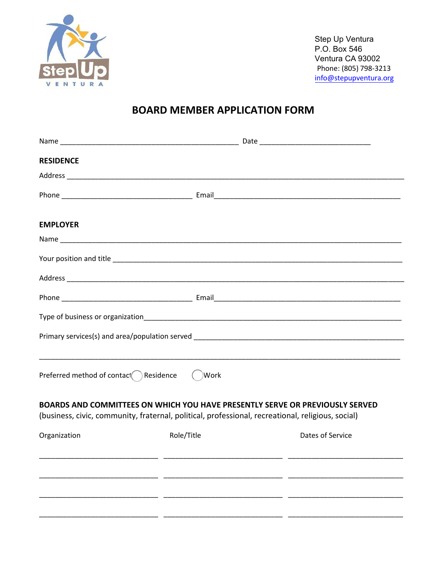

Step Up Ventura P.O. Box 546 Ventura CA 93002 Phone: (805) 798-3213 info@stepupventura.org

# **BOARD MEMBER APPLICATION FORM**

| <b>RESIDENCE</b>                                                                                  |            |                                                                              |
|---------------------------------------------------------------------------------------------------|------------|------------------------------------------------------------------------------|
|                                                                                                   |            |                                                                              |
|                                                                                                   |            |                                                                              |
| <b>EMPLOYER</b>                                                                                   |            |                                                                              |
|                                                                                                   |            |                                                                              |
|                                                                                                   |            |                                                                              |
|                                                                                                   |            |                                                                              |
|                                                                                                   |            |                                                                              |
|                                                                                                   |            |                                                                              |
|                                                                                                   |            |                                                                              |
| Preferred method of contact $\bigcap$ Residence                                                   | ( )Work    |                                                                              |
| (business, civic, community, fraternal, political, professional, recreational, religious, social) |            | BOARDS AND COMMITTEES ON WHICH YOU HAVE PRESENTLY SERVE OR PREVIOUSLY SERVED |
| Organization                                                                                      | Role/Title | Dates of Service                                                             |
|                                                                                                   |            |                                                                              |
|                                                                                                   |            |                                                                              |
|                                                                                                   |            |                                                                              |
|                                                                                                   |            |                                                                              |
|                                                                                                   |            |                                                                              |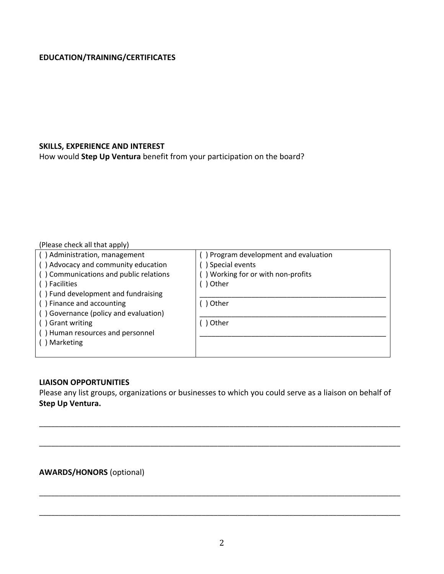## **EDUCATION/TRAINING/CERTIFICATES**

#### **SKILLS, EXPERIENCE AND INTEREST**

How would **Step Up Ventura** benefit from your participation on the board?

#### (Please check all that apply)

| () Administration, management          | Program development and evaluation |
|----------------------------------------|------------------------------------|
| () Advocacy and community education    | ) Special events                   |
| () Communications and public relations | ) Working for or with non-profits  |
| () Facilities                          | Other                              |
| () Fund development and fundraising    |                                    |
| () Finance and accounting              | Other                              |
| () Governance (policy and evaluation)  |                                    |
| () Grant writing                       | Other                              |
| () Human resources and personnel       |                                    |
| Marketing                              |                                    |
|                                        |                                    |

#### **LIAISON OPPORTUNITIES**

Please any list groups, organizations or businesses to which you could serve as a liaison on behalf of **Step Up Ventura.**

\_\_\_\_\_\_\_\_\_\_\_\_\_\_\_\_\_\_\_\_\_\_\_\_\_\_\_\_\_\_\_\_\_\_\_\_\_\_\_\_\_\_\_\_\_\_\_\_\_\_\_\_\_\_\_\_\_\_\_\_\_\_\_\_\_\_\_\_\_\_\_\_\_\_\_\_\_\_\_\_\_\_\_\_\_\_\_\_\_\_\_

\_\_\_\_\_\_\_\_\_\_\_\_\_\_\_\_\_\_\_\_\_\_\_\_\_\_\_\_\_\_\_\_\_\_\_\_\_\_\_\_\_\_\_\_\_\_\_\_\_\_\_\_\_\_\_\_\_\_\_\_\_\_\_\_\_\_\_\_\_\_\_\_\_\_\_\_\_\_\_\_\_\_\_\_\_\_\_\_\_\_\_

\_\_\_\_\_\_\_\_\_\_\_\_\_\_\_\_\_\_\_\_\_\_\_\_\_\_\_\_\_\_\_\_\_\_\_\_\_\_\_\_\_\_\_\_\_\_\_\_\_\_\_\_\_\_\_\_\_\_\_\_\_\_\_\_\_\_\_\_\_\_\_\_\_\_\_\_\_\_\_\_\_\_\_\_\_\_\_\_\_\_\_

\_\_\_\_\_\_\_\_\_\_\_\_\_\_\_\_\_\_\_\_\_\_\_\_\_\_\_\_\_\_\_\_\_\_\_\_\_\_\_\_\_\_\_\_\_\_\_\_\_\_\_\_\_\_\_\_\_\_\_\_\_\_\_\_\_\_\_\_\_\_\_\_\_\_\_\_\_\_\_\_\_\_\_\_\_\_\_\_\_\_\_

### **AWARDS/HONORS** (optional)